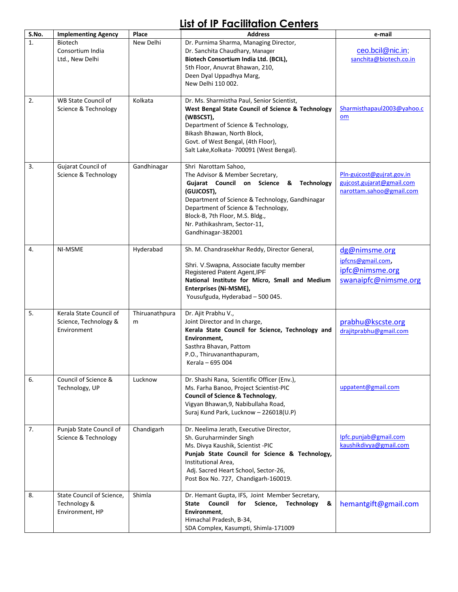## **List of IP Facilitation Centers**

| S.No. | <b>Implementing Agency</b>                                      | Place               | <b>Address</b>                                                                                                                                                                                                                                                                                                | e-mail                                                                             |
|-------|-----------------------------------------------------------------|---------------------|---------------------------------------------------------------------------------------------------------------------------------------------------------------------------------------------------------------------------------------------------------------------------------------------------------------|------------------------------------------------------------------------------------|
| 1.    | <b>Biotech</b><br>Consortium India<br>Ltd., New Delhi           | New Delhi           | Dr. Purnima Sharma, Managing Director,<br>Dr. Sanchita Chaudhary, Manager<br>Biotech Consortium India Ltd. (BCIL),<br>5th Floor, Anuvrat Bhawan, 210,<br>Deen Dyal Uppadhya Marg,<br>New Delhi 110 002.                                                                                                       | ceo.bcil@nic.in;<br>sanchita@biotech.co.in                                         |
| 2.    | WB State Council of<br>Science & Technology                     | Kolkata             | Dr. Ms. Sharmistha Paul, Senior Scientist,<br>West Bengal State Council of Science & Technology<br>(WBSCST),<br>Department of Science & Technology,<br>Bikash Bhawan, North Block,<br>Govt. of West Bengal, (4th Floor),<br>Salt Lake, Kolkata- 700091 (West Bengal).                                         | Sharmisthapaul2003@yahoo.c<br>om                                                   |
| 3.    | Gujarat Council of<br>Science & Technology                      | Gandhinagar         | Shri Narottam Sahoo,<br>The Advisor & Member Secretary,<br>Gujarat Council on Science &<br><b>Technology</b><br>(GUJCOST),<br>Department of Science & Technology, Gandhinagar<br>Department of Science & Technology,<br>Block-B, 7th Floor, M.S. Bldg.,<br>Nr. Pathikashram, Sector-11,<br>Gandhinagar-382001 | Pln-gujcost@gujrat.gov.in<br>gujcost.gujarat@gmail.com<br>narottam.sahoo@gmail.com |
| 4.    | NI-MSME                                                         | Hyderabad           | Sh. M. Chandrasekhar Reddy, Director General,<br>Shri. V.Swapna, Associate faculty member<br>Registered Patent Agent, IPF<br>National Institute for Micro, Small and Medium<br>Enterprises (Ni-MSME),<br>Yousufguda, Hyderabad - 500 045.                                                                     | dg@nimsme.org<br>ipfcns@gmail.com,<br>ipfc@nimsme.org<br>swanaipfc@nimsme.org      |
| 5.    | Kerala State Council of<br>Science, Technology &<br>Environment | Thiruanathpura<br>m | Dr. Ajit Prabhu V.,<br>Joint Director and In charge,<br>Kerala State Council for Science, Technology and<br>Environment,<br>Sasthra Bhavan, Pattom<br>P.O., Thiruvananthapuram,<br>Kerala - 695 004                                                                                                           | prabhu@kscste.org<br>draiitprabhu@gmail.com                                        |
| 6.    | Council of Science &<br>Technology, UP                          | Lucknow             | Dr. Shashi Rana, Scientific Officer (Env.),<br>Ms. Farha Banoo, Project Scientist-PIC<br><b>Council of Science &amp; Technology,</b><br>Vigyan Bhawan, 9, Nabibullaha Road,<br>Suraj Kund Park, Lucknow - 226018(U.P)                                                                                         | uppatent@gmail.com                                                                 |
| 7.    | Punjab State Council of<br>Science & Technology                 | Chandigarh          | Dr. Neelima Jerath, Executive Director,<br>Sh. Guruharminder Singh<br>Ms. Divya Kaushik, Scientist -PIC<br>Punjab State Council for Science & Technology,<br>Institutional Area,<br>Adj. Sacred Heart School, Sector-26,<br>Post Box No. 727, Chandigarh-160019.                                              | Ipfc.punjab@gmail.com<br>kaushikdivya@gmail.com                                    |
| 8.    | State Council of Science,<br>Technology &<br>Environment, HP    | Shimla              | Dr. Hemant Gupta, IFS, Joint Member Secretary,<br>State Council for Science,<br>Technology<br>&<br>Environment,<br>Himachal Pradesh, B-34,<br>SDA Complex, Kasumpti, Shimla-171009                                                                                                                            | hemantgift@gmail.com                                                               |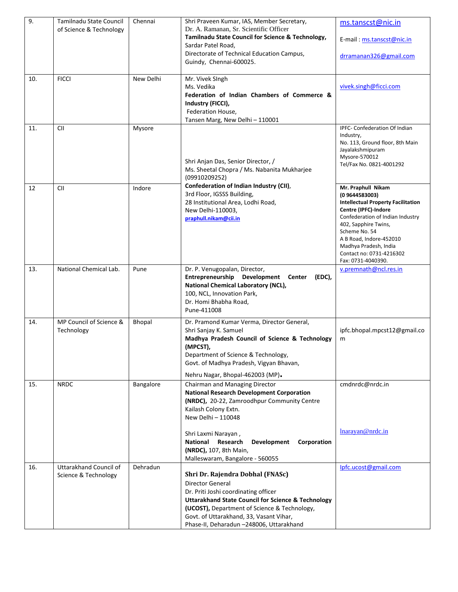| 9.  | Tamilnadu State Council                        | Chennai       | Shri Praveen Kumar, IAS, Member Secretary,                                                                    | ms.tanscst@nic.in                                                 |
|-----|------------------------------------------------|---------------|---------------------------------------------------------------------------------------------------------------|-------------------------------------------------------------------|
|     | of Science & Technology                        |               | Dr. A. Ramanan, Sr. Scientific Officer<br>Tamilnadu State Council for Science & Technology,                   |                                                                   |
|     |                                                |               | Sardar Patel Road,                                                                                            | E-mail: ms.tanscst@nic.in                                         |
|     |                                                |               | Directorate of Technical Education Campus,<br>Guindy, Chennai-600025.                                         | drramanan326@gmail.com                                            |
| 10. | <b>FICCI</b>                                   | New Delhi     | Mr. Vivek SIngh                                                                                               |                                                                   |
|     |                                                |               | Ms. Vedika                                                                                                    | vivek.singh@ficci.com                                             |
|     |                                                |               | Federation of Indian Chambers of Commerce &<br>Industry (FICCI),                                              |                                                                   |
|     |                                                |               | Federation House,                                                                                             |                                                                   |
|     |                                                |               | Tansen Marg, New Delhi - 110001                                                                               |                                                                   |
| 11. | CII                                            | Mysore        |                                                                                                               | IPFC- Confederation Of Indian<br>Industry,                        |
|     |                                                |               |                                                                                                               | No. 113, Ground floor, 8th Main                                   |
|     |                                                |               |                                                                                                               | Jayalakshmipuram<br>Mysore-570012                                 |
|     |                                                |               | Shri Anjan Das, Senior Director, /                                                                            | Tel/Fax No. 0821-4001292                                          |
|     |                                                |               | Ms. Sheetal Chopra / Ms. Nabanita Mukharjee<br>(09910209252)                                                  |                                                                   |
| 12  | <b>CII</b>                                     | Indore        | Confederation of Indian Industry (CII),                                                                       | Mr. Praphull Nikam                                                |
|     |                                                |               | 3rd Floor, IGSSS Building,                                                                                    | (0 9644583003)                                                    |
|     |                                                |               | 28 Institutional Area, Lodhi Road,<br>New Delhi-110003,                                                       | <b>Intellectual Property Facilitation</b><br>Centre (IPFC)-Indore |
|     |                                                |               | praphull.nikam@cii.in                                                                                         | Confederation of Indian Industry                                  |
|     |                                                |               |                                                                                                               | 402, Sapphire Twins,<br>Scheme No. 54                             |
|     |                                                |               |                                                                                                               | A B Road, Indore-452010                                           |
|     |                                                |               |                                                                                                               | Madhya Pradesh, India<br>Contact no: 0731-4216302                 |
|     |                                                |               |                                                                                                               | Fax: 0731-4040390.                                                |
| 13. | National Chemical Lab.                         | Pune          | Dr. P. Venugopalan, Director,<br>Entrepreneurship Development<br>(EDC),<br>Center                             | v.premnath@ncl.res.in                                             |
|     |                                                |               | National Chemical Laboratory (NCL),                                                                           |                                                                   |
|     |                                                |               | 100, NCL, Innovation Park,                                                                                    |                                                                   |
|     |                                                |               | Dr. Homi Bhabha Road,<br>Pune-411008                                                                          |                                                                   |
| 14. | MP Council of Science &                        | <b>Bhopal</b> | Dr. Pramond Kumar Verma, Director General,                                                                    |                                                                   |
|     | Technology                                     |               | Shri Sanjay K. Samuel                                                                                         | ipfc.bhopal.mpcst12@gmail.co                                      |
|     |                                                |               | Madhya Pradesh Council of Science & Technology                                                                | m                                                                 |
|     |                                                |               | (MPCST),<br>Department of Science & Technology,                                                               |                                                                   |
|     |                                                |               | Govt. of Madhya Pradesh, Vigyan Bhavan,                                                                       |                                                                   |
|     |                                                |               | Nehru Nagar, Bhopal-462003 (MP).                                                                              |                                                                   |
| 15. | <b>NRDC</b>                                    | Bangalore     | Chairman and Managing Director                                                                                | cmdnrdc@nrdc.in                                                   |
|     |                                                |               | <b>National Research Development Corporation</b>                                                              |                                                                   |
|     |                                                |               | (NRDC), 20-22, Zamroodhpur Community Centre<br>Kailash Colony Extn.                                           |                                                                   |
|     |                                                |               | New Delhi - 110048                                                                                            |                                                                   |
|     |                                                |               |                                                                                                               | lnarayan@nrdc.in                                                  |
|     |                                                |               | Shri Laxmi Narayan,<br>National Research<br>Development<br>Corporation                                        |                                                                   |
|     |                                                |               | (NRDC), 107, 8th Main,                                                                                        |                                                                   |
|     |                                                |               | Malleswaram, Bangalore - 560055                                                                               |                                                                   |
| 16. | Uttarakhand Council of<br>Science & Technology | Dehradun      | Shri Dr. Rajendra Dobhal (FNASc)                                                                              | Ipfc.ucost@gmail.com                                              |
|     |                                                |               | Director General                                                                                              |                                                                   |
|     |                                                |               | Dr. Priti Joshi coordinating officer                                                                          |                                                                   |
|     |                                                |               | <b>Uttarakhand State Council for Science &amp; Technology</b><br>(UCOST), Department of Science & Technology, |                                                                   |
|     |                                                |               | Govt. of Uttarakhand, 33, Vasant Vihar,                                                                       |                                                                   |
|     |                                                |               | Phase-II, Deharadun -248006, Uttarakhand                                                                      |                                                                   |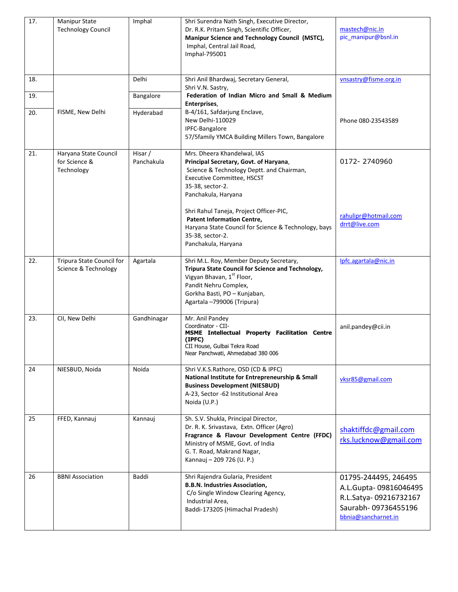| 17.        | <b>Manipur State</b><br><b>Technology Council</b>    | Imphal                | Shri Surendra Nath Singh, Executive Director,<br>Dr. R.K. Pritam Singh, Scientific Officer,<br>Manipur Science and Technology Council (MSTC),<br>Imphal, Central Jail Road,<br>Imphal-795001                                                                                                                                        | mastech@nic.in<br>pic_manipur@bsnl.in                                                                                |
|------------|------------------------------------------------------|-----------------------|-------------------------------------------------------------------------------------------------------------------------------------------------------------------------------------------------------------------------------------------------------------------------------------------------------------------------------------|----------------------------------------------------------------------------------------------------------------------|
| 18.<br>19. |                                                      | Delhi<br>Bangalore    | Shri Anil Bhardwaj, Secretary General,<br>Shri V.N. Sastry,<br>Federation of Indian Micro and Small & Medium                                                                                                                                                                                                                        | vnsastry@fisme.org.in                                                                                                |
| 20.        | FISME, New Delhi                                     | Hyderabad             | Enterprises,<br>B-4/161, Safdarjung Enclave,<br>New Delhi-110029<br>IPFC-Bangalore<br>57/5family YMCA Building Millers Town, Bangalore                                                                                                                                                                                              | Phone 080-23543589                                                                                                   |
| 21.        | Haryana State Council<br>for Science &<br>Technology | Hisar /<br>Panchakula | Mrs. Dheera Khandelwal, IAS<br>Principal Secretary, Govt. of Haryana,<br>Science & Technology Deptt. and Chairman,<br>Executive Committee, HSCST<br>35-38, sector-2.<br>Panchakula, Haryana<br>Shri Rahul Taneja, Project Officer-PIC,<br><b>Patent Information Centre,</b><br>Haryana State Council for Science & Technology, bays | 0172-2740960<br>rahulipr@hotmail.com<br>drrt@live.com                                                                |
|            |                                                      |                       | 35-38, sector-2.<br>Panchakula, Haryana                                                                                                                                                                                                                                                                                             |                                                                                                                      |
| 22.        | Tripura State Council for<br>Science & Technology    | Agartala              | Shri M.L. Roy, Member Deputy Secretary,<br>Tripura State Council for Science and Technology,<br>Vigyan Bhavan, 1st Floor,<br>Pandit Nehru Complex,<br>Gorkha Basti, PO - Kunjaban,<br>Agartala -799006 (Tripura)                                                                                                                    | Ipfc.agartala@nic.in                                                                                                 |
| 23.        | CII, New Delhi                                       | Gandhinagar           | Mr. Anil Pandey<br>Coordinator - CII-<br>MSME Intellectual Property Facilitation Centre<br>(IPFC)<br>CII House, Gulbai Tekra Road<br>Near Panchwati, Ahmedabad 380 006                                                                                                                                                              | anil.pandey@cii.in                                                                                                   |
| 24         | NIESBUD, Noida                                       | Noida                 | Shri V.K.S.Rathore, OSD (CD & IPFC)<br>National Institute for Entrepreneurship & Small<br><b>Business Development (NIESBUD)</b><br>A-23, Sector -62 Institutional Area<br>Noida (U.P.)                                                                                                                                              | vksr85@gmail.com                                                                                                     |
| 25         | FFED, Kannauj                                        | Kannauj               | Sh. S.V. Shukla, Principal Director,<br>Dr. R. K. Srivastava, Extn. Officer (Agro)<br>Fragrance & Flavour Development Centre (FFDC)<br>Ministry of MSME, Govt. of India<br>G. T. Road, Makrand Nagar,<br>Kannauj - 209 726 (U. P.)                                                                                                  | shaktiffdc@gmail.com<br>rks.lucknow@gmail.com                                                                        |
| 26         | <b>BBNI Association</b>                              | Baddi                 | Shri Rajendra Gularia, President<br><b>B.B.N. Industries Association,</b><br>C/o Single Window Clearing Agency,<br>Industrial Area,<br>Baddi-173205 (Himachal Pradesh)                                                                                                                                                              | 01795-244495, 246495<br>A.L.Gupta-09816046495<br>R.L.Satya-09216732167<br>Saurabh-09736455196<br>bbnia@sancharnet.in |